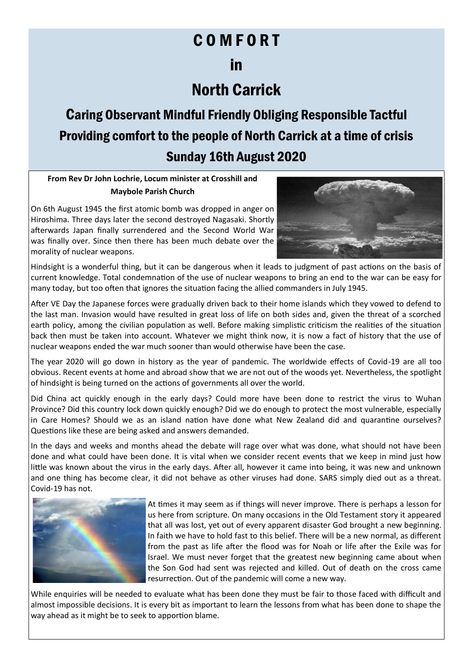## C O M F O R T

## in

## North Carrick

Caring Observant Mindful Friendly Obliging Responsible Tactful Providing comfort to the people of North Carrick at a time of crisis Sunday 16th August 2020

**From Rev Dr John Lochrie, Locum minister at Crosshill and Maybole Parish Church**

On 6th August 1945 the first atomic bomb was dropped in anger on Hiroshima. Three days later the second destroyed Nagasaki. Shortly afterwards Japan finally surrendered and the Second World War was finally over. Since then there has been much debate over the morality of nuclear weapons.



Hindsight is a wonderful thing, but it can be dangerous when it leads to judgment of past actions on the basis of current knowledge. Total condemnation of the use of nuclear weapons to bring an end to the war can be easy for many today, but too often that ignores the situation facing the allied commanders in July 1945.

After VE Day the Japanese forces were gradually driven back to their home islands which they vowed to defend to the last man. Invasion would have resulted in great loss of life on both sides and, given the threat of a scorched earth policy, among the civilian population as well. Before making simplistic criticism the realities of the situation back then must be taken into account. Whatever we might think now, it is now a fact of history that the use of nuclear weapons ended the war much sooner than would otherwise have been the case.

The year 2020 will go down in history as the year of pandemic. The worldwide effects of Covid-19 are all too obvious. Recent events at home and abroad show that we are not out of the woods yet. Nevertheless, the spotlight of hindsight is being turned on the actions of governments all over the world.

Did China act quickly enough in the early days? Could more have been done to restrict the virus to Wuhan Province? Did this country lock down quickly enough? Did we do enough to protect the most vulnerable, especially in Care Homes? Should we as an island nation have done what New Zealand did and quarantine ourselves? Questions like these are being asked and answers demanded.

In the days and weeks and months ahead the debate will rage over what was done, what should not have been done and what could have been done. It is vital when we consider recent events that we keep in mind just how little was known about the virus in the early days. After all, however it came into being, it was new and unknown and one thing has become clear, it did not behave as other viruses had done. SARS simply died out as a threat. Covid-19 has not.



At times it may seem as if things will never improve. There is perhaps a lesson for us here from scripture. On many occasions in the Old Testament story it appeared that all was lost, yet out of every apparent disaster God brought a new beginning. In faith we have to hold fast to this belief. There will be a new normal, as different from the past as life after the flood was for Noah or life after the Exile was for Israel. We must never forget that the greatest new beginning came about when the Son God had sent was rejected and killed. Out of death on the cross came resurrection. Out of the pandemic will come a new way.

While enquiries will be needed to evaluate what has been done they must be fair to those faced with difficult and almost impossible decisions. It is every bit as important to learn the lessons from what has been done to shape the way ahead as it might be to seek to apportion blame.